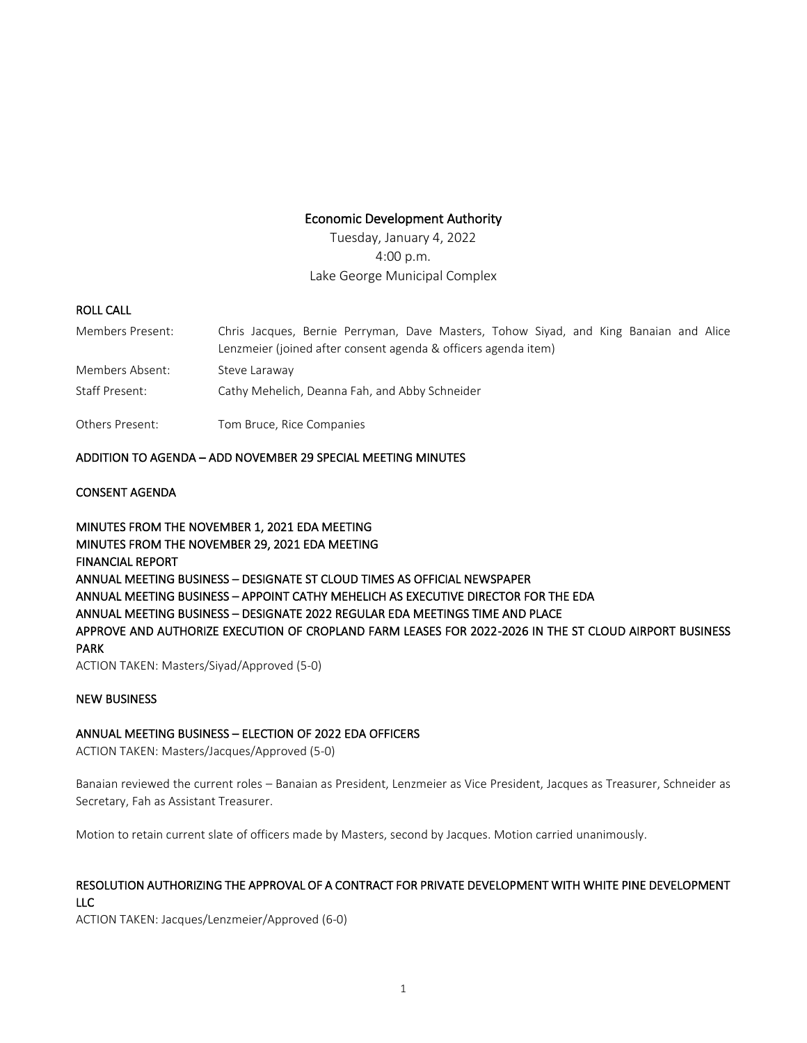## Economic Development Authority

Tuesday, January 4, 2022 4:00 p.m. Lake George Municipal Complex

### ROLL CALL

| Members Present: | Chris Jacques, Bernie Perryman, Dave Masters, Tohow Siyad, and King Banaian and Alice<br>Lenzmeier (joined after consent agenda & officers agenda item) |
|------------------|---------------------------------------------------------------------------------------------------------------------------------------------------------|
| Members Absent:  | Steve Laraway                                                                                                                                           |
| Staff Present:   | Cathy Mehelich, Deanna Fah, and Abby Schneider                                                                                                          |
| Others Present:  | Tom Bruce, Rice Companies                                                                                                                               |

## ADDITION TO AGENDA – ADD NOVEMBER 29 SPECIAL MEETING MINUTES

## CONSENT AGENDA

MINUTES FROM THE NOVEMBER 1, 2021 EDA MEETING MINUTES FROM THE NOVEMBER 29, 2021 EDA MEETING FINANCIAL REPORT ANNUAL MEETING BUSINESS – DESIGNATE ST CLOUD TIMES AS OFFICIAL NEWSPAPER ANNUAL MEETING BUSINESS – APPOINT CATHY MEHELICH AS EXECUTIVE DIRECTOR FOR THE EDA ANNUAL MEETING BUSINESS – DESIGNATE 2022 REGULAR EDA MEETINGS TIME AND PLACE APPROVE AND AUTHORIZE EXECUTION OF CROPLAND FARM LEASES FOR 2022-2026 IN THE ST CLOUD AIRPORT BUSINESS PARK ACTION TAKEN: Masters/Siyad/Approved (5-0)

#### NEW BUSINESS

## ANNUAL MEETING BUSINESS – ELECTION OF 2022 EDA OFFICERS

ACTION TAKEN: Masters/Jacques/Approved (5-0)

Banaian reviewed the current roles – Banaian as President, Lenzmeier as Vice President, Jacques as Treasurer, Schneider as Secretary, Fah as Assistant Treasurer.

Motion to retain current slate of officers made by Masters, second by Jacques. Motion carried unanimously.

# RESOLUTION AUTHORIZING THE APPROVAL OF A CONTRACT FOR PRIVATE DEVELOPMENT WITH WHITE PINE DEVELOPMENT LLC

ACTION TAKEN: Jacques/Lenzmeier/Approved (6-0)